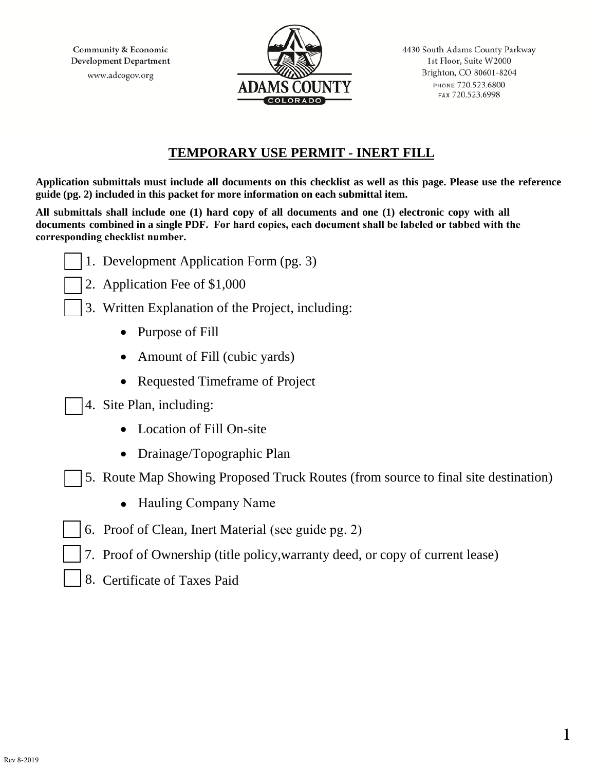Community & Economic Development Department www.adcogov.org



### **TEMPORARY USE PERMIT - INERT FILL**

**Application submittals must include all documents on this checklist as well as this page. Please use the reference guide (pg. 2) included in this packet for more information on each submittal item.** 

**All submittals shall include one (1) hard copy of all documents and one (1) electronic copy with all documents combined in a single PDF. For hard copies, each document shall be labeled or tabbed with the corresponding checklist number.** 

- 1. Development Application Form (pg. 3)
- 2. Application Fee of \$1,000
- 3. Written Explanation of the Project, including:
	- Purpose of Fill
	- Amount of Fill (cubic yards)
	- Requested Timeframe of Project
- 4. Site Plan, including:
	- Location of Fill On-site
	- Drainage/Topographic Plan
- 5. Route Map Showing Proposed Truck Routes (from source to final site destination)
	- Hauling Company Name
- 6. Proof of Clean, Inert Material (see guide pg. 2)
- 7. Proof of Ownership (title policy,warranty deed, or copy of current lease)
- 8. Certificate of Taxes Paid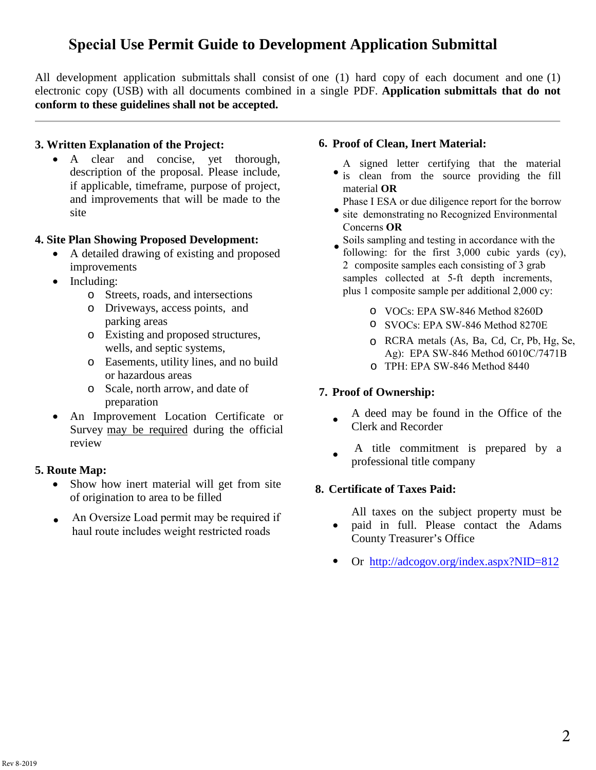# **Special Use Permit Guide to Development Application Submittal**

All development application submittals shall consist of one (1) hard copy of each document and one (1) electronic copy (USB) with all documents combined in a single PDF. **Application submittals that do not conform to these guidelines shall not be accepted.** 

#### **3. Written Explanation of the Project:**

• A clear and concise, yet thorough, description of the proposal. Please include, if applicable, timeframe, purpose of project, and improvements that will be made to the site

#### **4. Site Plan Showing Proposed Development:**

- A detailed drawing of existing and proposed improvements
- Including:
	- o Streets, roads, and intersections
	- o Driveways, access points, and parking areas
	- o Existing and proposed structures, wells, and septic systems,
	- o Easements, utility lines, and no build or hazardous areas
	- o Scale, north arrow, and date of preparation
- An Improvement Location Certificate or Survey may be required during the official review

#### **5. Route Map:**

- Show how inert material will get from site of origination to area to be filled
- An Oversize Load permit may be required if haul route includes weight restricted roads •

#### **6. Proof of Clean, Inert Material:**

- A signed letter certifying that the material is clean from the source providing the fill material **OR**
- Phase I ESA or due diligence report for the borrow
- site demonstrating no Recognized Environmental Concerns **OR**
- Soils sampling and testing in accordance with the following: for the first 3,000 cubic yards (cy), 2 composite samples each consisting of 3 grab samples collected at 5-ft depth increments, plus 1 composite sample per additional 2,000 cy: •
	- o VOCs: EPA SW-846 Method 8260D
	- o SVOCs: EPA SW-846 Method 8270E
	- o RCRA metals (As, Ba, Cd, Cr, Pb, Hg, Se, Ag): EPA SW-846 Method 6010C/7471B
	- o TPH: EPA SW-846 Method 8440

#### **7. Proof of Ownership:**

- A deed may be found in the Office of the Clerk and Recorder
- A title commitment is prepared by a pr[ofessional title](http://adcogov.org/index.aspx?NID=812) company

#### **8. Certificate of Taxes Paid:**

- All taxes on the subject property must be
- paid in full. Please contact the Adams County Treasurer's Office
- Or http://adcogov.org/index.aspx?NID=812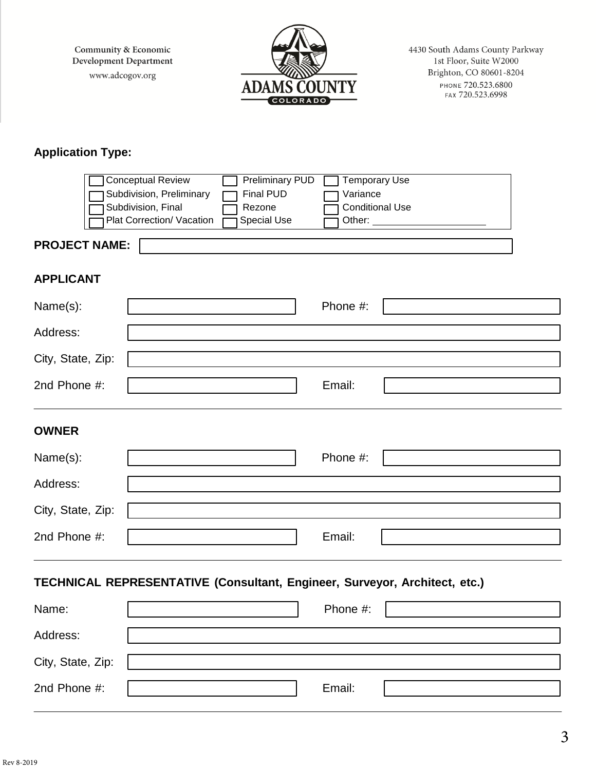Community & Economic Development Department www.adcogov.org



4430 South Adams County Parkway 1st Floor, Suite W2000 Brighton, CO 80601-8204 PHONE 720.523.6800

## **Application Type:**

|                                                                            | <b>Conceptual Review</b><br>Subdivision, Preliminary<br>Subdivision, Final | <b>Preliminary PUD</b><br><b>Final PUD</b><br>Rezone | <b>Temporary Use</b><br>Variance | <b>Conditional Use</b> |  |  |
|----------------------------------------------------------------------------|----------------------------------------------------------------------------|------------------------------------------------------|----------------------------------|------------------------|--|--|
| <b>PROJECT NAME:</b>                                                       | Plat Correction/ Vacation                                                  | Special Use                                          | Other:                           |                        |  |  |
|                                                                            |                                                                            |                                                      |                                  |                        |  |  |
| <b>APPLICANT</b>                                                           |                                                                            |                                                      |                                  |                        |  |  |
| Name(s):                                                                   |                                                                            |                                                      | Phone #:                         |                        |  |  |
| Address:                                                                   |                                                                            |                                                      |                                  |                        |  |  |
| City, State, Zip:                                                          |                                                                            |                                                      |                                  |                        |  |  |
| 2nd Phone #:                                                               |                                                                            |                                                      | Email:                           |                        |  |  |
| <b>OWNER</b>                                                               |                                                                            |                                                      |                                  |                        |  |  |
| Name(s):                                                                   |                                                                            |                                                      | Phone #:                         |                        |  |  |
| Address:                                                                   |                                                                            |                                                      |                                  |                        |  |  |
| City, State, Zip:                                                          |                                                                            |                                                      |                                  |                        |  |  |
| 2nd Phone #:                                                               |                                                                            |                                                      | Email:                           |                        |  |  |
| TECHNICAL REPRESENTATIVE (Consultant, Engineer, Surveyor, Architect, etc.) |                                                                            |                                                      |                                  |                        |  |  |
| Name:                                                                      |                                                                            |                                                      | Phone #:                         |                        |  |  |
| Address:                                                                   |                                                                            |                                                      |                                  |                        |  |  |
| City, State, Zip:                                                          |                                                                            |                                                      |                                  |                        |  |  |
| 2nd Phone #:                                                               |                                                                            |                                                      | Email:                           |                        |  |  |